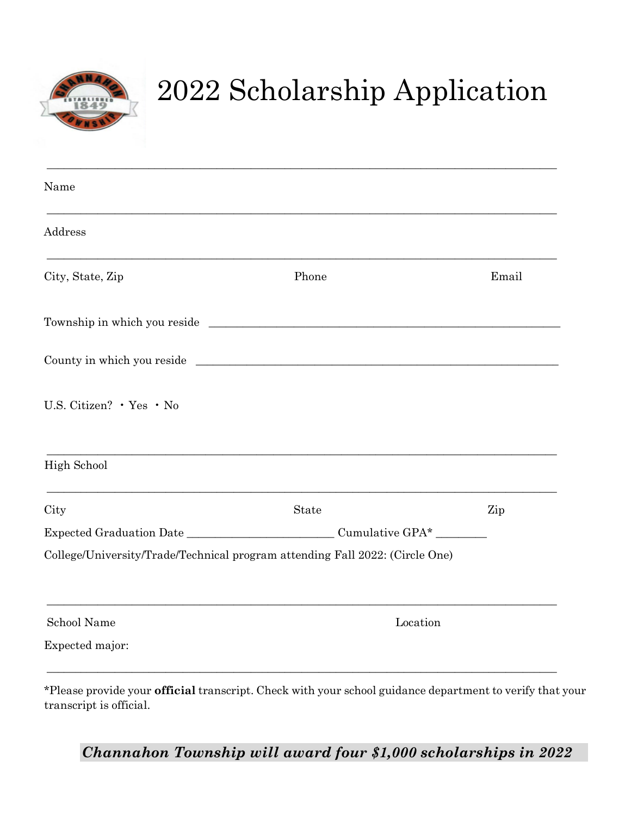

## 2022 Scholarship Application

| Name                     |                                                                              |       |
|--------------------------|------------------------------------------------------------------------------|-------|
| Address                  |                                                                              |       |
| City, State, Zip         | Phone                                                                        | Email |
|                          |                                                                              |       |
|                          |                                                                              |       |
| U.S. Citizen? . Yes . No |                                                                              |       |
| High School              |                                                                              |       |
| City                     | State                                                                        | Zip   |
|                          |                                                                              |       |
|                          | College/University/Trade/Technical program attending Fall 2022: (Circle One) |       |
|                          |                                                                              |       |
| School Name              | Location                                                                     |       |

cial transcript. Check with your school guidance department to verify that your transcript is official.

*Channahon Township will award four \$1,000 scholarships in 2022*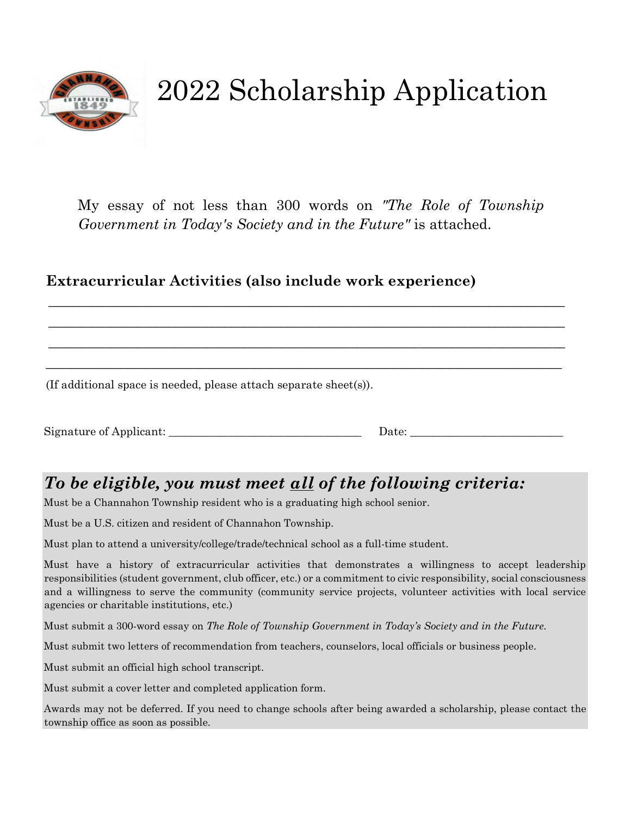

## 2022 Scholarship Application

My essay of not less than 300 words on *"The Role of Township Government in Today's Society and in the Future"* is attached.

\_\_\_\_\_\_\_\_\_\_\_\_\_\_\_\_\_\_\_\_\_\_\_\_\_\_\_\_\_\_\_\_\_\_\_\_\_\_\_\_\_\_\_\_\_\_\_\_\_\_\_\_\_\_\_\_\_\_\_\_\_\_\_\_\_\_\_\_\_\_\_\_\_\_\_\_\_\_\_\_\_\_

\_\_\_\_\_\_\_\_\_\_\_\_\_\_\_\_\_\_\_\_\_\_\_\_\_\_\_\_\_\_\_\_\_\_\_\_\_\_\_\_\_\_\_\_\_\_\_\_\_\_\_\_\_\_\_\_\_\_\_\_\_\_\_\_\_\_\_\_\_\_\_\_\_\_\_\_\_\_\_\_\_\_

\_\_\_\_\_\_\_\_\_\_\_\_\_\_\_\_\_\_\_\_\_\_\_\_\_\_\_\_\_\_\_\_\_\_\_\_\_\_\_\_\_\_\_\_\_\_\_\_\_\_\_\_\_\_\_\_\_\_\_\_\_\_\_\_\_\_\_\_\_\_\_\_\_\_\_\_\_\_\_\_\_\_

\_\_\_\_\_\_\_\_\_\_\_\_\_\_\_\_\_\_\_\_\_\_\_\_\_\_\_\_\_\_\_\_\_\_\_\_\_\_\_\_\_\_\_\_\_\_\_\_\_\_\_\_\_\_\_\_\_\_\_\_\_\_\_\_\_\_\_\_\_\_\_\_\_\_\_\_\_\_\_\_\_\_

#### **Extracurricular Activities (also include work experience)**

(If additional space is needed, please attach separate sheet(s)).

Signature of Applicant: \_\_\_\_\_\_\_\_\_\_\_\_\_\_\_\_\_\_\_\_\_\_\_\_\_\_\_\_\_\_\_\_\_\_ Date: \_\_\_\_\_\_\_\_\_\_\_\_\_\_\_\_\_\_\_\_\_\_\_\_\_\_\_

### *To be eligible, you must meet all of the following criteria:*

Must be a Channahon Township resident who is a graduating high school senior.

Must be a U.S. citizen and resident of Channahon Township.

Must plan to attend a university/college/trade/technical school as a full-time student.

Must have a history of extracurricular activities that demonstrates a willingness to accept leadership responsibilities (student government, club officer, etc.) or a commitment to civic responsibility, social consciousness and a willingness to serve the community (community service projects, volunteer activities with local service agencies or charitable institutions, etc.)

Must submit a 300-word essay on *The Role of Township Government in Today's Society and in the Future.*

Must submit two letters of recommendation from teachers, counselors, local officials or business people.

Must submit an official high school transcript.

Must submit a cover letter and completed application form.

Awards may not be deferred. If you need to change schools after being awarded a scholarship, please contact the township office as soon as possible.